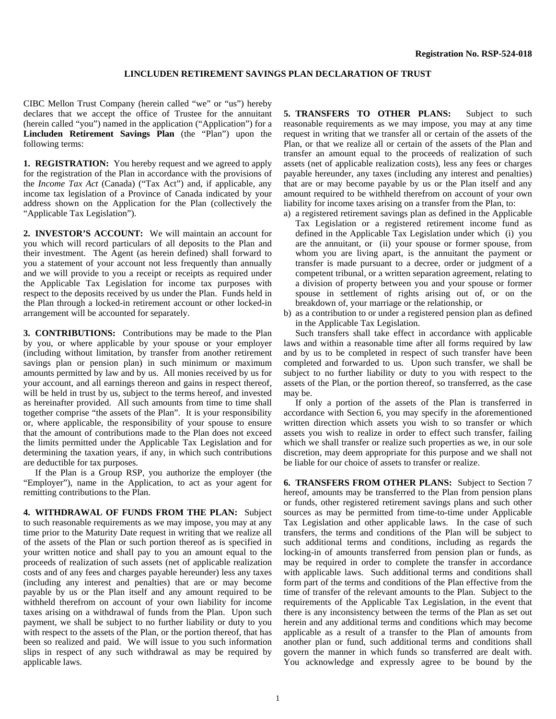## **LINCLUDEN RETIREMENT SAVINGS PLAN DECLARATION OF TRUST**

CIBC Mellon Trust Company (herein called "we" or "us") hereby declares that we accept the office of Trustee for the annuitant (herein called "you") named in the application ("Application") for a **Lincluden Retirement Savings Plan** (the "Plan") upon the following terms:

**1. REGISTRATION:** You hereby request and we agreed to apply for the registration of the Plan in accordance with the provisions of the *Income Tax Act* (Canada) ("Tax Act") and, if applicable, any income tax legislation of a Province of Canada indicated by your address shown on the Application for the Plan (collectively the "Applicable Tax Legislation").

**2. INVESTOR'S ACCOUNT:** We will maintain an account for you which will record particulars of all deposits to the Plan and their investment. The Agent (as herein defined) shall forward to you a statement of your account not less frequently than annually and we will provide to you a receipt or receipts as required under the Applicable Tax Legislation for income tax purposes with respect to the deposits received by us under the Plan. Funds held in the Plan through a locked-in retirement account or other locked-in arrangement will be accounted for separately.

**3. CONTRIBUTIONS:** Contributions may be made to the Plan by you, or where applicable by your spouse or your employer (including without limitation, by transfer from another retirement savings plan or pension plan) in such minimum or maximum amounts permitted by law and by us. All monies received by us for your account, and all earnings thereon and gains in respect thereof, will be held in trust by us, subject to the terms hereof, and invested as hereinafter provided. All such amounts from time to time shall together comprise "the assets of the Plan". It is your responsibility or, where applicable, the responsibility of your spouse to ensure that the amount of contributions made to the Plan does not exceed the limits permitted under the Applicable Tax Legislation and for determining the taxation years, if any, in which such contributions are deductible for tax purposes.

 If the Plan is a Group RSP, you authorize the employer (the "Employer"), name in the Application, to act as your agent for remitting contributions to the Plan.

**4. WITHDRAWAL OF FUNDS FROM THE PLAN:** Subject to such reasonable requirements as we may impose, you may at any time prior to the Maturity Date request in writing that we realize all of the assets of the Plan or such portion thereof as is specified in your written notice and shall pay to you an amount equal to the proceeds of realization of such assets (net of applicable realization costs and of any fees and charges payable hereunder) less any taxes (including any interest and penalties) that are or may become payable by us or the Plan itself and any amount required to be withheld therefrom on account of your own liability for income taxes arising on a withdrawal of funds from the Plan. Upon such payment, we shall be subject to no further liability or duty to you with respect to the assets of the Plan, or the portion thereof, that has been so realized and paid. We will issue to you such information slips in respect of any such withdrawal as may be required by applicable laws.

**5. TRANSFERS TO OTHER PLANS:** Subject to such reasonable requirements as we may impose, you may at any time request in writing that we transfer all or certain of the assets of the Plan, or that we realize all or certain of the assets of the Plan and transfer an amount equal to the proceeds of realization of such assets (net of applicable realization costs), less any fees or charges payable hereunder, any taxes (including any interest and penalties) that are or may become payable by us or the Plan itself and any amount required to be withheld therefrom on account of your own liability for income taxes arising on a transfer from the Plan, to:

- a) a registered retirement savings plan as defined in the Applicable Tax Legislation or a registered retirement income fund as defined in the Applicable Tax Legislation under which (i) you are the annuitant, or (ii) your spouse or former spouse, from whom you are living apart, is the annuitant the payment or transfer is made pursuant to a decree, order or judgment of a competent tribunal, or a written separation agreement, relating to a division of property between you and your spouse or former spouse in settlement of rights arising out of, or on the breakdown of, your marriage or the relationship, or
- b) as a contribution to or under a registered pension plan as defined in the Applicable Tax Legislation.

 Such transfers shall take effect in accordance with applicable laws and within a reasonable time after all forms required by law and by us to be completed in respect of such transfer have been completed and forwarded to us. Upon such transfer, we shall be subject to no further liability or duty to you with respect to the assets of the Plan, or the portion thereof, so transferred, as the case may be.

 If only a portion of the assets of the Plan is transferred in accordance with Section 6, you may specify in the aforementioned written direction which assets you wish to so transfer or which assets you wish to realize in order to effect such transfer, failing which we shall transfer or realize such properties as we, in our sole discretion, may deem appropriate for this purpose and we shall not be liable for our choice of assets to transfer or realize.

**6. TRANSFERS FROM OTHER PLANS:** Subject to Section 7 hereof, amounts may be transferred to the Plan from pension plans or funds, other registered retirement savings plans and such other sources as may be permitted from time-to-time under Applicable Tax Legislation and other applicable laws. In the case of such transfers, the terms and conditions of the Plan will be subject to such additional terms and conditions, including as regards the locking-in of amounts transferred from pension plan or funds, as may be required in order to complete the transfer in accordance with applicable laws. Such additional terms and conditions shall form part of the terms and conditions of the Plan effective from the time of transfer of the relevant amounts to the Plan. Subject to the requirements of the Applicable Tax Legislation, in the event that there is any inconsistency between the terms of the Plan as set out herein and any additional terms and conditions which may become applicable as a result of a transfer to the Plan of amounts from another plan or fund, such additional terms and conditions shall govern the manner in which funds so transferred are dealt with. You acknowledge and expressly agree to be bound by the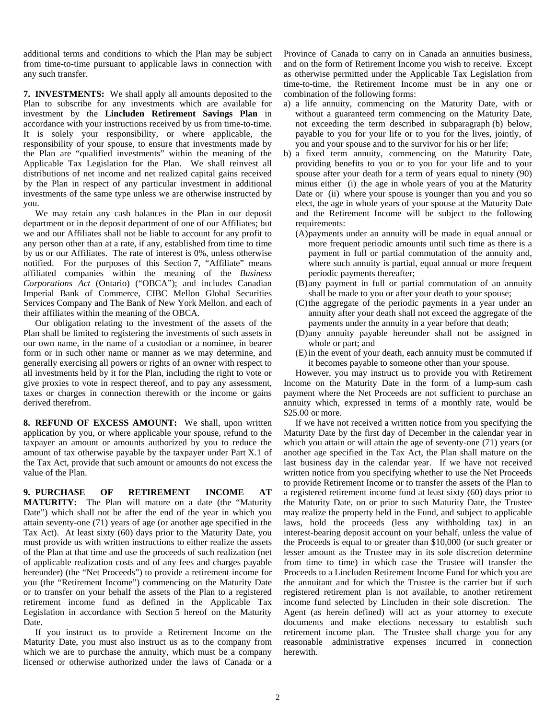additional terms and conditions to which the Plan may be subject from time-to-time pursuant to applicable laws in connection with any such transfer.

**7. INVESTMENTS:** We shall apply all amounts deposited to the Plan to subscribe for any investments which are available for investment by the **Lincluden Retirement Savings Plan** in accordance with your instructions received by us from time-to-time. It is solely your responsibility, or where applicable, the responsibility of your spouse, to ensure that investments made by the Plan are "qualified investments" within the meaning of the Applicable Tax Legislation for the Plan. We shall reinvest all distributions of net income and net realized capital gains received by the Plan in respect of any particular investment in additional investments of the same type unless we are otherwise instructed by you.

 We may retain any cash balances in the Plan in our deposit department or in the deposit department of one of our Affiliates; but we and our Affiliates shall not be liable to account for any profit to any person other than at a rate, if any, established from time to time by us or our Affiliates. The rate of interest is 0%, unless otherwise notified. For the purposes of this Section 7, "Affiliate" means affiliated companies within the meaning of the *Business Corporations Act* (Ontario) ("OBCA"); and includes Canadian Imperial Bank of Commerce, CIBC Mellon Global Securities Services Company and The Bank of New York Mellon. and each of their affiliates within the meaning of the OBCA.

 Our obligation relating to the investment of the assets of the Plan shall be limited to registering the investments of such assets in our own name, in the name of a custodian or a nominee, in bearer form or in such other name or manner as we may determine, and generally exercising all powers or rights of an owner with respect to all investments held by it for the Plan, including the right to vote or give proxies to vote in respect thereof, and to pay any assessment, taxes or charges in connection therewith or the income or gains derived therefrom.

**8. REFUND OF EXCESS AMOUNT:** We shall, upon written application by you, or where applicable your spouse, refund to the taxpayer an amount or amounts authorized by you to reduce the amount of tax otherwise payable by the taxpayer under Part X.1 of the Tax Act, provide that such amount or amounts do not excess the value of the Plan.

**9. PURCHASE OF RETIREMENT INCOME AT MATURITY:** The Plan will mature on a date (the "Maturity Date") which shall not be after the end of the year in which you attain seventy-one (71) years of age (or another age specified in the Tax Act). At least sixty (60) days prior to the Maturity Date, you must provide us with written instructions to either realize the assets of the Plan at that time and use the proceeds of such realization (net of applicable realization costs and of any fees and charges payable hereunder) (the "Net Proceeds") to provide a retirement income for you (the "Retirement Income") commencing on the Maturity Date or to transfer on your behalf the assets of the Plan to a registered retirement income fund as defined in the Applicable Tax Legislation in accordance with Section 5 hereof on the Maturity Date.

 If you instruct us to provide a Retirement Income on the Maturity Date, you must also instruct us as to the company from which we are to purchase the annuity, which must be a company licensed or otherwise authorized under the laws of Canada or a Province of Canada to carry on in Canada an annuities business, and on the form of Retirement Income you wish to receive. Except as otherwise permitted under the Applicable Tax Legislation from time-to-time, the Retirement Income must be in any one or combination of the following forms:

- a) a life annuity, commencing on the Maturity Date, with or without a guaranteed term commencing on the Maturity Date, not exceeding the term described in subparagraph (b) below, payable to you for your life or to you for the lives, jointly, of you and your spouse and to the survivor for his or her life;
- b) a fixed term annuity, commencing on the Maturity Date, providing benefits to you or to you for your life and to your spouse after your death for a term of years equal to ninety (90) minus either (i) the age in whole years of you at the Maturity Date or (ii) where your spouse is younger than you and you so elect, the age in whole years of your spouse at the Maturity Date and the Retirement Income will be subject to the following requirements:
	- (A)payments under an annuity will be made in equal annual or more frequent periodic amounts until such time as there is a payment in full or partial commutation of the annuity and, where such annuity is partial, equal annual or more frequent periodic payments thereafter;
	- (B)any payment in full or partial commutation of an annuity shall be made to you or after your death to your spouse;
	- (C)the aggregate of the periodic payments in a year under an annuity after your death shall not exceed the aggregate of the payments under the annuity in a year before that death;
	- (D)any annuity payable hereunder shall not be assigned in whole or part; and
	- (E)in the event of your death, each annuity must be commuted if it becomes payable to someone other than your spouse.

 However, you may instruct us to provide you with Retirement Income on the Maturity Date in the form of a lump-sum cash payment where the Net Proceeds are not sufficient to purchase an annuity which, expressed in terms of a monthly rate, would be \$25.00 or more.

 If we have not received a written notice from you specifying the Maturity Date by the first day of December in the calendar year in which you attain or will attain the age of seventy-one (71) years (or another age specified in the Tax Act, the Plan shall mature on the last business day in the calendar year. If we have not received written notice from you specifying whether to use the Net Proceeds to provide Retirement Income or to transfer the assets of the Plan to a registered retirement income fund at least sixty (60) days prior to the Maturity Date, on or prior to such Maturity Date, the Trustee may realize the property held in the Fund, and subject to applicable laws, hold the proceeds (less any withholding tax) in an interest-bearing deposit account on your behalf, unless the value of the Proceeds is equal to or greater than \$10,000 (or such greater or lesser amount as the Trustee may in its sole discretion determine from time to time) in which case the Trustee will transfer the Proceeds to a Lincluden Retirement Income Fund for which you are the annuitant and for which the Trustee is the carrier but if such registered retirement plan is not available, to another retirement income fund selected by Lincluden in their sole discretion. The Agent (as herein defined) will act as your attorney to execute documents and make elections necessary to establish such retirement income plan. The Trustee shall charge you for any reasonable administrative expenses incurred in connection herewith.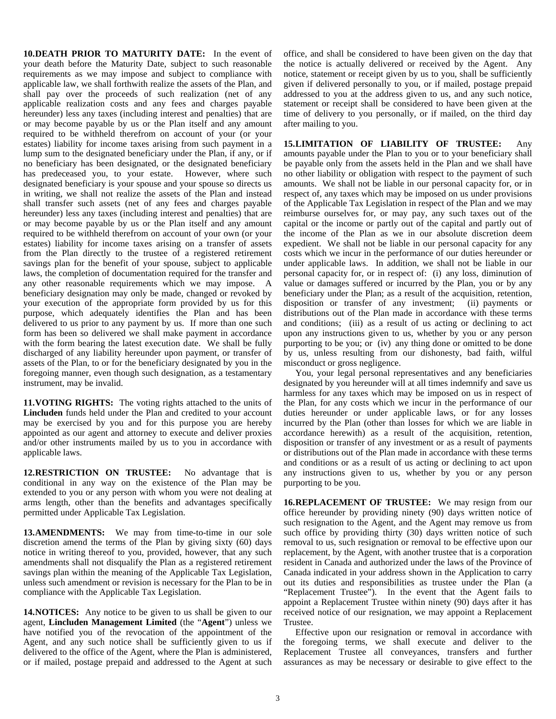**10. DEATH PRIOR TO MATURITY DATE:** In the event of your death before the Maturity Date, subject to such reasonable requirements as we may impose and subject to compliance with applicable law, we shall forthwith realize the assets of the Plan, and shall pay over the proceeds of such realization (net of any applicable realization costs and any fees and charges payable hereunder) less any taxes (including interest and penalties) that are or may become payable by us or the Plan itself and any amount required to be withheld therefrom on account of your (or your estates) liability for income taxes arising from such payment in a lump sum to the designated beneficiary under the Plan, if any, or if no beneficiary has been designated, or the designated beneficiary has predeceased you, to your estate. However, where such designated beneficiary is your spouse and your spouse so directs us in writing, we shall not realize the assets of the Plan and instead shall transfer such assets (net of any fees and charges payable hereunder) less any taxes (including interest and penalties) that are or may become payable by us or the Plan itself and any amount required to be withheld therefrom on account of your own (or your estates) liability for income taxes arising on a transfer of assets from the Plan directly to the trustee of a registered retirement savings plan for the benefit of your spouse, subject to applicable laws, the completion of documentation required for the transfer and any other reasonable requirements which we may impose. A beneficiary designation may only be made, changed or revoked by your execution of the appropriate form provided by us for this purpose, which adequately identifies the Plan and has been delivered to us prior to any payment by us. If more than one such form has been so delivered we shall make payment in accordance with the form bearing the latest execution date. We shall be fully discharged of any liability hereunder upon payment, or transfer of assets of the Plan, to or for the beneficiary designated by you in the foregoing manner, even though such designation, as a testamentary instrument, may be invalid.

**11. VOTING RIGHTS:** The voting rights attached to the units of **Lincluden** funds held under the Plan and credited to your account may be exercised by you and for this purpose you are hereby appointed as our agent and attorney to execute and deliver proxies and/or other instruments mailed by us to you in accordance with applicable laws.

**12. RESTRICTION ON TRUSTEE:** No advantage that is conditional in any way on the existence of the Plan may be extended to you or any person with whom you were not dealing at arms length, other than the benefits and advantages specifically permitted under Applicable Tax Legislation.

**13. AMENDMENTS:** We may from time-to-time in our sole discretion amend the terms of the Plan by giving sixty (60) days notice in writing thereof to you, provided, however, that any such amendments shall not disqualify the Plan as a registered retirement savings plan within the meaning of the Applicable Tax Legislation, unless such amendment or revision is necessary for the Plan to be in compliance with the Applicable Tax Legislation.

**14. NOTICES:** Any notice to be given to us shall be given to our agent, **Lincluden Management Limited** (the "**Agent**") unless we have notified you of the revocation of the appointment of the Agent, and any such notice shall be sufficiently given to us if delivered to the office of the Agent, where the Plan is administered, or if mailed, postage prepaid and addressed to the Agent at such

office, and shall be considered to have been given on the day that the notice is actually delivered or received by the Agent. Any notice, statement or receipt given by us to you, shall be sufficiently given if delivered personally to you, or if mailed, postage prepaid addressed to you at the address given to us, and any such notice, statement or receipt shall be considered to have been given at the time of delivery to you personally, or if mailed, on the third day after mailing to you.

**15. LIMITATION OF LIABILITY OF TRUSTEE:** Any amounts payable under the Plan to you or to your beneficiary shall be payable only from the assets held in the Plan and we shall have no other liability or obligation with respect to the payment of such amounts. We shall not be liable in our personal capacity for, or in respect of, any taxes which may be imposed on us under provisions of the Applicable Tax Legislation in respect of the Plan and we may reimburse ourselves for, or may pay, any such taxes out of the capital or the income or partly out of the capital and partly out of the income of the Plan as we in our absolute discretion deem expedient. We shall not be liable in our personal capacity for any costs which we incur in the performance of our duties hereunder or under applicable laws. In addition, we shall not be liable in our personal capacity for, or in respect of: (i) any loss, diminution of value or damages suffered or incurred by the Plan, you or by any beneficiary under the Plan; as a result of the acquisition, retention, disposition or transfer of any investment; (ii) payments or distributions out of the Plan made in accordance with these terms and conditions; (iii) as a result of us acting or declining to act upon any instructions given to us, whether by you or any person purporting to be you; or (iv) any thing done or omitted to be done by us, unless resulting from our dishonesty, bad faith, wilful misconduct or gross negligence.

 You, your legal personal representatives and any beneficiaries designated by you hereunder will at all times indemnify and save us harmless for any taxes which may be imposed on us in respect of the Plan, for any costs which we incur in the performance of our duties hereunder or under applicable laws, or for any losses incurred by the Plan (other than losses for which we are liable in accordance herewith) as a result of the acquisition, retention, disposition or transfer of any investment or as a result of payments or distributions out of the Plan made in accordance with these terms and conditions or as a result of us acting or declining to act upon any instructions given to us, whether by you or any person purporting to be you.

**16. REPLACEMENT OF TRUSTEE:** We may resign from our office hereunder by providing ninety (90) days written notice of such resignation to the Agent, and the Agent may remove us from such office by providing thirty (30) days written notice of such removal to us, such resignation or removal to be effective upon our replacement, by the Agent, with another trustee that is a corporation resident in Canada and authorized under the laws of the Province of Canada indicated in your address shown in the Application to carry out its duties and responsibilities as trustee under the Plan (a "Replacement Trustee"). In the event that the Agent fails to appoint a Replacement Trustee within ninety (90) days after it has received notice of our resignation, we may appoint a Replacement Trustee.

 Effective upon our resignation or removal in accordance with the foregoing terms, we shall execute and deliver to the Replacement Trustee all conveyances, transfers and further assurances as may be necessary or desirable to give effect to the